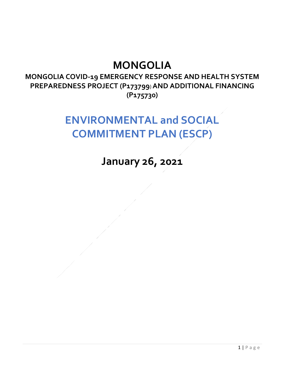## **MONGOLIA**

**MONGOLIA COVID-19 EMERGENCY RESPONSE AND HEALTH SYSTEM PREPAREDNESS PROJECT (P173799**) **AND ADDITIONAL FINANCING (P175730)**

## **ENVIRONMENTAL and SOCIAL COMMITMENT PLAN (ESCP)**

**January 26, 2021**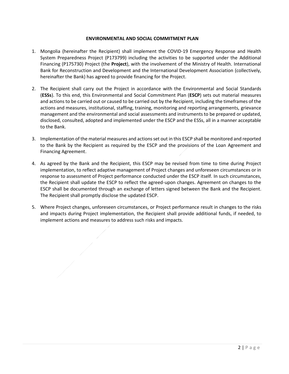## **ENVIRONMENTAL AND SOCIAL COMMITMENT PLAN**

- 1. Mongolia (hereinafter the Recipient) shall implement the COVID-19 Emergency Response and Health System Preparedness Project (P173799) including the activities to be supported under the Additional Financing (P175730) Project (the **Project**), with the involvement of the Ministry of Health. International Bank for Reconstruction and Development and the International Development Association (collectively, hereinafter the Bank) has agreed to provide financing for the Project.
- 2. The Recipient shall carry out the Project in accordance with the Environmental and Social Standards (**ESSs**). To this end, this Environmental and Social Commitment Plan (**ESCP**) sets out material measures and actions to be carried out or caused to be carried out by the Recipient, including the timeframes of the actions and measures, institutional, staffing, training, monitoring and reporting arrangements, grievance management and the environmental and social assessments and instruments to be prepared or updated, disclosed, consulted, adopted and implemented under the ESCP and the ESSs, all in a manner acceptable to the Bank.
- 3. Implementation of the material measures and actions set out in this ESCP shall be monitored and reported to the Bank by the Recipient as required by the ESCP and the provisions of the Loan Agreement and Financing Agreement.
- 4. As agreed by the Bank and the Recipient, this ESCP may be revised from time to time during Project implementation, to reflect adaptive management of Project changes and unforeseen circumstances or in response to assessment of Project performance conducted under the ESCP itself. In such circumstances, the Recipient shall update the ESCP to reflect the agreed-upon changes. Agreement on changes to the ESCP shall be documented through an exchange of letters signed between the Bank and the Recipient. The Recipient shall promptly disclose the updated ESCP.
- 5. Where Project changes, unforeseen circumstances, or Project performance result in changes to the risks and impacts during Project implementation, the Recipient shall provide additional funds, if needed, to implement actions and measures to address such risks and impacts.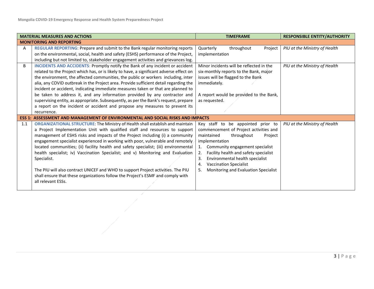| <b>MATERIAL MEASURES AND ACTIONS</b> |                                                                                                                                                                                                                                                                                                                                                                                                                                                                                                                                                                                                                                                                                                                         | <b>TIMEFRAME</b>                                                                                                                                                                                                                                                                                                                                         | <b>RESPONSIBLE ENTITY/AUTHORITY</b> |  |
|--------------------------------------|-------------------------------------------------------------------------------------------------------------------------------------------------------------------------------------------------------------------------------------------------------------------------------------------------------------------------------------------------------------------------------------------------------------------------------------------------------------------------------------------------------------------------------------------------------------------------------------------------------------------------------------------------------------------------------------------------------------------------|----------------------------------------------------------------------------------------------------------------------------------------------------------------------------------------------------------------------------------------------------------------------------------------------------------------------------------------------------------|-------------------------------------|--|
|                                      | <b>MONITORING AND REPORTING</b>                                                                                                                                                                                                                                                                                                                                                                                                                                                                                                                                                                                                                                                                                         |                                                                                                                                                                                                                                                                                                                                                          |                                     |  |
| A                                    | REGULAR REPORTING: Prepare and submit to the Bank regular monitoring reports<br>on the environmental, social, health and safety (ESHS) performance of the Project,<br>including but not limited to, stakeholder engagement activities and grievances log.                                                                                                                                                                                                                                                                                                                                                                                                                                                               | throughout<br>Quarterly<br>Project<br>implementation                                                                                                                                                                                                                                                                                                     | PIU at the Ministry of Health       |  |
| B                                    | <b>INCIDENTS AND ACCIDENTS: Promptly notify the Bank of any incident or accident</b><br>related to the Project which has, or is likely to have, a significant adverse effect on<br>the environment, the affected communities, the public or workers including, inter<br>alia, any COVID outbreak in the Project area. Provide sufficient detail regarding the<br>incident or accident, indicating immediate measures taken or that are planned to<br>be taken to address it, and any information provided by any contractor and<br>supervising entity, as appropriate. Subsequently, as per the Bank's request, prepare<br>a report on the incident or accident and propose any measures to prevent its<br>recurrence.  | Minor incidents will be reflected in the<br>six-monthly reports to the Bank, major<br>issues will be flagged to the Bank<br>immediately.<br>A report would be provided to the Bank,<br>as requested.                                                                                                                                                     | PIU at the Ministry of Health       |  |
|                                      | <b>ESS 1: ASSESSMENT AND MANAGEMENT OF ENVIRONMENTAL AND SOCIAL RISKS AND IMPACTS</b>                                                                                                                                                                                                                                                                                                                                                                                                                                                                                                                                                                                                                                   |                                                                                                                                                                                                                                                                                                                                                          |                                     |  |
| 1.1                                  | ORGANIZATIONAL STRUCTURE: The Ministry of Health shall establish and maintain<br>a Project Implementation Unit with qualified staff and resources to support<br>management of ESHS risks and impacts of the Project including (i) a community<br>engagement specialist experienced in working with poor, vulnerable and remotely<br>located communities; (ii) facility health and safety specialist; (iii) environmental<br>health specialist; iv) Vaccination Specialist; and v) Monitoring and Evaluation<br>Specialist.<br>The PIU will also contract UNICEF and WHO to support Project activities. The PIU<br>shall ensure that these organizations follow the Project's ESMF and comply with<br>all relevant ESSs. | Key staff to be appointed prior to<br>commencement of Project activities and<br>maintained<br>throughout<br>Project<br>implementation<br>1. Community engagement specialist<br>2.<br>Facility health and safety specialist<br>Environmental health specialist<br>3.<br><b>Vaccination Specialist</b><br>4.<br>Monitoring and Evaluation Specialist<br>5. | PIU at the Ministry of Health       |  |
|                                      |                                                                                                                                                                                                                                                                                                                                                                                                                                                                                                                                                                                                                                                                                                                         |                                                                                                                                                                                                                                                                                                                                                          |                                     |  |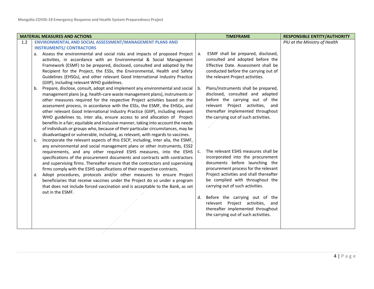|     | <b>MATERIAL MEASURES AND ACTIONS</b>                                                                                                                                                                                                                                                                                                                                                                                                                                                                                                                                                                                                                                                                                                                                                                                                                                                                |                      | <b>TIMEFRAME</b>                                                                                                                                                                                                                                                                                                                                                                                                        | <b>RESPONSIBLE ENTITY/AUTHORITY</b> |
|-----|-----------------------------------------------------------------------------------------------------------------------------------------------------------------------------------------------------------------------------------------------------------------------------------------------------------------------------------------------------------------------------------------------------------------------------------------------------------------------------------------------------------------------------------------------------------------------------------------------------------------------------------------------------------------------------------------------------------------------------------------------------------------------------------------------------------------------------------------------------------------------------------------------------|----------------------|-------------------------------------------------------------------------------------------------------------------------------------------------------------------------------------------------------------------------------------------------------------------------------------------------------------------------------------------------------------------------------------------------------------------------|-------------------------------------|
| 1.2 | ENVIRONMENTAL AND SOCIAL ASSESSMENT/MANAGEMENT PLANS AND                                                                                                                                                                                                                                                                                                                                                                                                                                                                                                                                                                                                                                                                                                                                                                                                                                            |                      |                                                                                                                                                                                                                                                                                                                                                                                                                         | PIU at the Ministry of Health       |
|     | <b>INSTRUMENTS/ CONTRACTORS</b>                                                                                                                                                                                                                                                                                                                                                                                                                                                                                                                                                                                                                                                                                                                                                                                                                                                                     |                      |                                                                                                                                                                                                                                                                                                                                                                                                                         |                                     |
|     | a. Assess the environmental and social risks and impacts of proposed Project   a.<br>activities, in accordance with an Environmental & Social Management<br>Framework (ESMF) to be prepared, disclosed, consulted and adopted by the<br>Recipient for the Project, the ESSs, the Environmental, Health and Safety<br>Guidelines (EHSGs), and other relevant Good International Industry Practice                                                                                                                                                                                                                                                                                                                                                                                                                                                                                                    |                      | ESMF shall be prepared, disclosed,<br>consulted and adopted before the<br>Effective Date. Assessment shall be<br>conducted before the carrying out of<br>the relevant Project activities.                                                                                                                                                                                                                               |                                     |
|     | (GIIP), including relevant WHO guidelines.<br>b. Prepare, disclose, consult, adopt and implement any environmental and social $\vert$ b.<br>management plans (e.g. health-care waste management plans), instruments or<br>other measures required for the respective Project activities based on the<br>assessment process, in accordance with the ESSs, the ESMF, the EHSGs, and<br>other relevant Good International Industry Practice (GIIP), including relevant<br>WHO guidelines to, inter alia, ensure access to and allocation of Project<br>benefits in a fair, equitable and inclusive manner, taking into account the needs<br>of individuals or groups who, because of their particular circumstances, may be<br>disadvantaged or vulnerable, including, as relevant, with regards to vaccines.<br>Incorporate the relevant aspects of this ESCP, including, inter alia, the ESMF,<br>c. |                      | Plans/instruments shall be prepared,<br>disclosed, consulted and adapted<br>before the carrying out of the<br>relevant Project activities, and<br>thereafter implemented throughout<br>the carrying out of such activities.                                                                                                                                                                                             |                                     |
|     | any environmental and social management plans or other instruments, ESS2<br>requirements, and any other required ESHS measures, into the ESHS<br>specifications of the procurement documents and contracts with contractors<br>and supervising firms. Thereafter ensure that the contractors and supervising<br>firms comply with the ESHS specifications of their respective contracts.<br>d. Adopt procedures, protocols and/or other measures to ensure Project<br>beneficiaries that receive vaccines under the Project do so under a program<br>that does not include forced vaccination and is acceptable to the Bank, as set<br>out in the ESMF.                                                                                                                                                                                                                                             | $\mathsf{C}$ .<br>d. | The relevant ESHS measures shall be<br>incorporated into the procurement<br>documents before launching the<br>procurement process for the relevant<br>Project activities and shall thereafter<br>be complied with throughout the<br>carrying out of such activities.<br>Before the carrying out of the<br>relevant Project activities, and<br>thereafter implemented throughout<br>the carrying out of such activities. |                                     |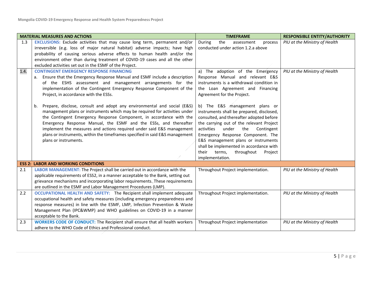| <b>MATERIAL MEASURES AND ACTIONS</b> |                                                                                                                                                     | <b>TIMEFRAME</b>                                            | <b>RESPONSIBLE ENTITY/AUTHORITY</b> |
|--------------------------------------|-----------------------------------------------------------------------------------------------------------------------------------------------------|-------------------------------------------------------------|-------------------------------------|
| 1.3                                  | EXCLUSIONS: Exclude activities that may cause long term, permanent and/or                                                                           | the<br>During<br>assessment<br>process                      | PIU at the Ministry of Health       |
|                                      | irreversible (e.g. loss of major natural habitat) adverse impacts; have high                                                                        | conducted under action 1.2.a above                          |                                     |
|                                      | probability of causing serious adverse effects to human health and/or the                                                                           |                                                             |                                     |
|                                      | environment other than during treatment of COVID-19 cases and all the other                                                                         |                                                             |                                     |
|                                      | excluded activities set out in the ESMF of the Project.                                                                                             |                                                             |                                     |
| 1.4.                                 | <b>CONTINGENT EMERGENCY RESPONSE FINANCING</b>                                                                                                      | a) The adoption of the Emergency                            | PIU at the Ministry of Health       |
|                                      | a. Ensure that the Emergency Response Manual and ESMF include a description                                                                         | Response Manual and relevant E&S                            |                                     |
|                                      | of the ESHS assessment and management arrangements for the                                                                                          | instruments is a withdrawal condition in                    |                                     |
|                                      | implementation of the Contingent Emergency Response Component of the                                                                                | the Loan Agreement and Financing                            |                                     |
|                                      | Project, in accordance with the ESSs.                                                                                                               | Agreement for the Project.                                  |                                     |
|                                      |                                                                                                                                                     |                                                             |                                     |
|                                      | Prepare, disclose, consult and adopt any environmental and social (E&S)<br>b.                                                                       | b) The E&S management plans or                              |                                     |
|                                      | management plans or instruments which may be required for activities under                                                                          | instruments shall be prepared, disclosed,                   |                                     |
|                                      | the Contingent Emergency Response Component, in accordance with the                                                                                 | consulted, and thereafter adopted before                    |                                     |
|                                      | Emergency Response Manual, the ESMF and the ESSs, and thereafter                                                                                    | the carrying out of the relevant Project                    |                                     |
|                                      | implement the measures and actions required under said E&S management                                                                               | activities<br>under<br>the<br>Contingent                    |                                     |
|                                      | plans or instruments, within the timeframes specified in said E&S management                                                                        | Emergency Response Component. The                           |                                     |
|                                      | plans or instruments.                                                                                                                               | E&S management plans or instruments                         |                                     |
|                                      |                                                                                                                                                     | shall be implemented in accordance with                     |                                     |
|                                      |                                                                                                                                                     | their<br>throughout<br>terms,<br>Project<br>implementation. |                                     |
|                                      | <b>ESS 2: LABOR AND WORKING CONDITIONS</b>                                                                                                          |                                                             |                                     |
|                                      |                                                                                                                                                     |                                                             |                                     |
| 2.1                                  | LABOR MANAGEMENT: The Project shall be carried out in accordance with the                                                                           | Throughout Project implementation.                          | PIU at the Ministry of Health       |
|                                      | applicable requirements of ESS2, in a manner acceptable to the Bank, setting out                                                                    |                                                             |                                     |
|                                      | grievance mechanisms and incorporating labor requirements. These requirements                                                                       |                                                             |                                     |
|                                      | are outlined in the ESMF and Labor Management Procedures (LMP).<br>OCCUPATIONAL HEALTH AND SAFETY: The Recipient shall implement adequate           |                                                             |                                     |
| 2.2                                  | occupational health and safety measures (including emergency preparedness and                                                                       | Throughout Project implementation.                          | PIU at the Ministry of Health       |
|                                      |                                                                                                                                                     |                                                             |                                     |
|                                      | response measures) in line with the ESMF, LMP, Infection Prevention & Waste<br>Management Plan (IPC&WMP) and WHO guidelines on COVID-19 in a manner |                                                             |                                     |
|                                      | acceptable to the Bank.                                                                                                                             |                                                             |                                     |
| 2.3                                  | <b>WORKERS CODE OF CONDUCT:</b> The Recipient shall ensure that all health workers                                                                  | Throughout Project implementation                           | PIU at the Ministry of Health       |
|                                      |                                                                                                                                                     |                                                             |                                     |
|                                      | adhere to the WHO Code of Ethics and Professional conduct.                                                                                          |                                                             |                                     |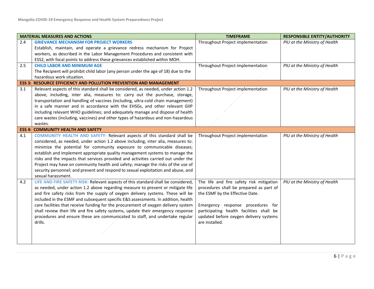|     | <b>MATERIAL MEASURES AND ACTIONS</b>                                                | <b>TIMEFRAME</b>                         | <b>RESPONSIBLE ENTITY/AUTHORITY</b> |
|-----|-------------------------------------------------------------------------------------|------------------------------------------|-------------------------------------|
| 2.4 | <b>GRIEVANCE MECHANISM FOR PROJECT WORKERS</b>                                      | Throughout Project implementation        | PIU at the Ministry of Health       |
|     | Establish, maintain, and operate a grievance redress mechanism for Project          |                                          |                                     |
|     | workers, as described in the Labor Management Procedures and consistent with        |                                          |                                     |
|     | ESS2, with focal points to address these grievances established within MOH.         |                                          |                                     |
| 2.5 | <b>CHILD LABOR AND MINIMUM AGE</b>                                                  | Throughout Project implementation        | PIU at the Ministry of Health       |
|     | The Recipient will prohibit child labor (any person under the age of 18) due to the |                                          |                                     |
|     | hazardous work situation.                                                           |                                          |                                     |
|     | <b>ESS 3: RESOURCE EFFICIENCY AND POLLUTION PREVENTION AND MANAGEMENT</b>           |                                          |                                     |
| 3.1 | Relevant aspects of this standard shall be considered, as needed, under action 1.2  | Throughout Project implementation        | PIU at the Ministry of Health       |
|     | above, including, inter alia, measures to: carry out the purchase, storage,         |                                          |                                     |
|     | transportation and handling of vaccines (including, ultra-cold chain management)    |                                          |                                     |
|     | in a safe manner and in accordance with the EHSGs, and other relevant GIIP          |                                          |                                     |
|     | including relevant WHO guidelines; and adequately manage and dispose of health      |                                          |                                     |
|     | care wastes (including, vaccines) and other types of hazardous and non-hazardous    |                                          |                                     |
|     | wastes.                                                                             |                                          |                                     |
|     | <b>ESS 4: COMMUNITY HEALTH AND SAFETY</b>                                           |                                          |                                     |
| 4.1 | COMMUNITY HEALTH AND SAFETY: Relevant aspects of this standard shall be             | Throughout Project implementation        | PIU at the Ministry of Health       |
|     | considered, as needed, under action 1.2 above including, inter alia, measures to:   |                                          |                                     |
|     | minimize the potential for community exposure to communicable diseases;             |                                          |                                     |
|     | establish and implement appropriate quality management systems to manage the        |                                          |                                     |
|     | risks and the impacts that services provided and activities carried out under the   |                                          |                                     |
|     | Project may have on community health and safety; manage the risks of the use of     |                                          |                                     |
|     | security personnel; and prevent and respond to sexual exploitation and abuse, and   |                                          |                                     |
|     | sexual harassment.                                                                  |                                          |                                     |
| 4.2 | LIFE AND FIRE SAFETY RISK: Relevant aspects of this standard shall be considered,   | The life and fire safety risk mitigation | PIU at the Ministry of Health       |
|     | as needed, under action 1.2 above regarding measure to prevent or mitigate life     | procedures shall be prepared as part of  |                                     |
|     | and fire safety risks from the supply of oxygen delivery systems. These will be     | the ESMF by the Effective Date.          |                                     |
|     | included in the ESMF and subsequent specific E&S assessments. In addition, health   |                                          |                                     |
|     | care facilities that receive funding for the procurement of oxygen delivery system  | Emergency response procedures for        |                                     |
|     | shall review their life and fire safety systems, update their emergency response    | participating health facilities shall be |                                     |
|     | procedures and ensure these are communicated to staff, and undertake regular        | updated before oxygen delivery systems   |                                     |
|     | drills.                                                                             | are installed.                           |                                     |
|     |                                                                                     |                                          |                                     |
|     |                                                                                     |                                          |                                     |
|     |                                                                                     |                                          |                                     |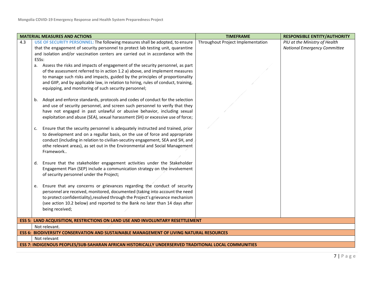|     | <b>MATERIAL MEASURES AND ACTIONS</b>                                                                 | <b>TIMEFRAME</b>                  | <b>RESPONSIBLE ENTITY/AUTHORITY</b> |  |
|-----|------------------------------------------------------------------------------------------------------|-----------------------------------|-------------------------------------|--|
| 4.3 | USE OF SECURITY PERSONNEL: The following measures shall be adopted, to ensure                        | Throughout Project Implementation | PIU at the Ministry of Health       |  |
|     | that the engagement of security personnel to protect lab testing unit, quarantine                    |                                   | <b>National Emergency Committee</b> |  |
|     | and isolation and/or vaccination centers are carried out in accordance with the                      |                                   |                                     |  |
|     | ESSs:                                                                                                |                                   |                                     |  |
|     | a. Assess the risks and impacts of engagement of the security personnel, as part                     |                                   |                                     |  |
|     | of the assessment referred to in action 1.2 a) above, and implement measures                         |                                   |                                     |  |
|     | to manage such risks and impacts, guided by the principles of proportionality                        |                                   |                                     |  |
|     | and GIIP, and by applicable law, in relation to hiring, rules of conduct, training,                  |                                   |                                     |  |
|     | equipping, and monitoring of such security personnel;                                                |                                   |                                     |  |
|     |                                                                                                      |                                   |                                     |  |
|     | Adopt and enforce standards, protocols and codes of conduct for the selection<br>b.                  |                                   |                                     |  |
|     | and use of security personnel, and screen such personnel to verify that they                         |                                   |                                     |  |
|     | have not engaged in past unlawful or abusive behavior, including sexual                              |                                   |                                     |  |
|     | exploitation and abuse (SEA), sexual harassment (SH) or excessive use of force;                      |                                   |                                     |  |
|     |                                                                                                      |                                   |                                     |  |
|     | Ensure that the security personnel is adequately instructed and trained, prior<br>$\mathsf{C}$ .     |                                   |                                     |  |
|     | to development and on a regullar basis, on the use of force and appropriate                          |                                   |                                     |  |
|     | conduct (including in relation to civilian-secutiry engagement, SEA and SH, and                      |                                   |                                     |  |
|     | othe relevant areas), as set out in the Environmental and Social Management                          |                                   |                                     |  |
|     | Framework                                                                                            |                                   |                                     |  |
|     |                                                                                                      |                                   |                                     |  |
|     | Ensure that the stakeholder engagement activities under the Stakeholder<br>d.                        |                                   |                                     |  |
|     | Engagement Plan (SEP) include a communication strategy on the involvement                            |                                   |                                     |  |
|     | of security personnel under the Project;                                                             |                                   |                                     |  |
|     |                                                                                                      |                                   |                                     |  |
|     | Ensure that any concerns or grievances regarding the conduct of security<br>e.                       |                                   |                                     |  |
|     | personnel are received, monitored, documented (taking into account the need                          |                                   |                                     |  |
|     | to protect confidentiality), resolved through the Project's grievance mechanism                      |                                   |                                     |  |
|     | (see action 10.2 below) and reported to the Bank no later than 14 days after                         |                                   |                                     |  |
|     | being received;                                                                                      |                                   |                                     |  |
|     |                                                                                                      |                                   |                                     |  |
|     | <b>ESS 5: LAND ACQUISITION, RESTRICTIONS ON LAND USE AND INVOLUNTARY RESETTLEMENT</b>                |                                   |                                     |  |
|     | Not relevant.                                                                                        |                                   |                                     |  |
|     | <b>ESS 6: BIODIVERSITY CONSERVATION AND SUSTAINABLE MANAGEMENT OF LIVING NATURAL RESOURCES</b>       |                                   |                                     |  |
|     | Not relevant                                                                                         |                                   |                                     |  |
|     | ESS 7: INDIGENOUS PEOPLES/SUB-SAHARAN AFRICAN HISTORICALLY UNDERSERVED TRADITIONAL LOCAL COMMUNITIES |                                   |                                     |  |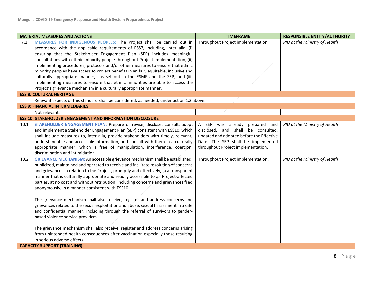| <b>MATERIAL MEASURES AND ACTIONS</b> |                                                                                                                                                         | <b>TIMEFRAME</b>                         | <b>RESPONSIBLE ENTITY/AUTHORITY</b> |  |
|--------------------------------------|---------------------------------------------------------------------------------------------------------------------------------------------------------|------------------------------------------|-------------------------------------|--|
| 7.1                                  | MEASURES FOR INDIGENOUS PEOPLES: The Project shall be carried out in<br>accordance with the applicable requirements of ESS7, including, inter alia: (i) | Throughout Project implementation.       | PIU at the Ministry of Health       |  |
|                                      | ensuring that the Stakeholder Engagement Plan (SEP) includes meaningful                                                                                 |                                          |                                     |  |
|                                      | consultations with ethnic minority people throughout Project implementation; (ii)                                                                       |                                          |                                     |  |
|                                      | implementing procedures, protocols and/or other measures to ensure that ethnic                                                                          |                                          |                                     |  |
|                                      | minority peoples have access to Project benefits in an fair, equitable, inclusive and                                                                   |                                          |                                     |  |
|                                      | culturally appropriate manner, as set out in the ESMF and the SEP; and (iii)                                                                            |                                          |                                     |  |
|                                      | implementing measures to ensure that ethnic minorities are able to access the                                                                           |                                          |                                     |  |
|                                      | Project's grievance mechanism in a culturally appropriate manner.                                                                                       |                                          |                                     |  |
|                                      | <b>ESS 8: CULTURAL HERITAGE</b>                                                                                                                         |                                          |                                     |  |
|                                      | Relevant aspects of this standard shall be considered, as needed, under action 1.2 above.                                                               |                                          |                                     |  |
|                                      | <b>ESS 9: FINANCIAL INTERMEDIARIES</b>                                                                                                                  |                                          |                                     |  |
|                                      | Not relevant.                                                                                                                                           |                                          |                                     |  |
|                                      | <b>ESS 10: STAKEHOLDER ENGAGEMENT AND INFORMATION DISCLOSURE</b>                                                                                        |                                          |                                     |  |
| 10.1                                 | STAKEHOLDER ENGAGEMENT PLAN: Prepare or revise, disclose, consult, adopt                                                                                | A SEP was already prepared and           | PIU at the Ministry of Health       |  |
|                                      | and implement a Stakeholder Engagement Plan (SEP) consistent with ESS10, which                                                                          | disclosed, and shall be consulted,       |                                     |  |
|                                      | shall include measures to, inter alia, provide stakeholders with timely, relevant,                                                                      | updated and adopted before the Effective |                                     |  |
|                                      | understandable and accessible information, and consult with them in a culturally                                                                        | Date. The SEP shall be implemented       |                                     |  |
|                                      | appropriate manner, which is free of manipulation, interference, coercion,                                                                              | throughout Project implementation.       |                                     |  |
|                                      | discrimination and intimidation.                                                                                                                        |                                          |                                     |  |
| 10.2                                 | <b>GRIEVANCE MECHANISM:</b> An accessible grievance mechanism shall be established,                                                                     | Throughout Project implementation.       | PIU at the Ministry of Health       |  |
|                                      | publicized, maintained and operated to receive and facilitate resolution of concerns                                                                    |                                          |                                     |  |
|                                      | and grievances in relation to the Project, promptly and effectively, in a transparent                                                                   |                                          |                                     |  |
|                                      | manner that is culturally appropriate and readily accessible to all Project-affected                                                                    |                                          |                                     |  |
|                                      | parties, at no cost and without retribution, including concerns and grievances filed                                                                    |                                          |                                     |  |
|                                      | anonymously, in a manner consistent with ESS10.                                                                                                         |                                          |                                     |  |
|                                      |                                                                                                                                                         |                                          |                                     |  |
|                                      | The grievance mechanism shall also receive, register and address concerns and                                                                           |                                          |                                     |  |
|                                      | grievances related to the sexual exploitation and abuse, sexual harassment in a safe                                                                    |                                          |                                     |  |
|                                      | and confidential manner, including through the referral of survivors to gender-                                                                         |                                          |                                     |  |
|                                      | based violence service providers.                                                                                                                       |                                          |                                     |  |
|                                      | The grievance mechanism shall also receive, register and address concerns arising                                                                       |                                          |                                     |  |
|                                      | from unintended health consequences after vaccination especially those resulting                                                                        |                                          |                                     |  |
|                                      | in serious adverse effects.                                                                                                                             |                                          |                                     |  |
|                                      | <b>CAPACITY SUPPORT (TRAINING)</b>                                                                                                                      |                                          |                                     |  |
|                                      |                                                                                                                                                         |                                          |                                     |  |